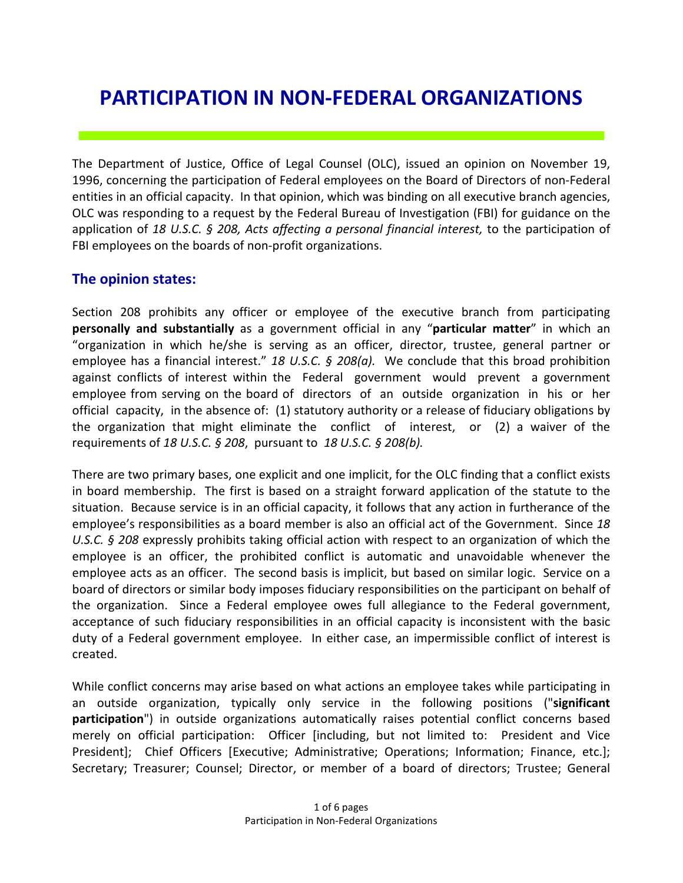# **PARTICIPATION IN NON-FEDERAL ORGANIZATIONS**

The Department of Justice, Office of Legal Counsel (OLC), issued an opinion on November 19, 1996, concerning the participation of Federal employees on the Board of Directors of non-Federal entities in an official capacity. In that opinion, which was binding on all executive branch agencies, OLC was responding to a request by the Federal Bureau of Investigation (FBI) for guidance on the application of *18 U.S.C. § 208, Acts affecting a personal financial interest,* to the participation of FBI employees on the boards of non-profit organizations.

#### **The opinion states:**

Section 208 prohibits any officer or employee of the executive branch from participating **personally and substantially** as a government official in any "**particular matter**" in which an "organization in which he/she is serving as an officer, director, trustee, general partner or employee has a financial interest." *18 U.S.C. § 208(a).* We conclude that this broad prohibition against conflicts of interest within the Federal government would prevent a government employee from serving on the board of directors of an outside organization in his or her official capacity, in the absence of: (1) statutory authority or a release of fiduciary obligations by the organization that might eliminate the conflict of interest, or (2) a waiver of the requirements of *18 U.S.C. § 208*, pursuant to *18 U.S.C. § 208(b).* 

There are two primary bases, one explicit and one implicit, for the OLC finding that a conflict exists in board membership. The first is based on a straight forward application of the statute to the situation. Because service is in an official capacity, it follows that any action in furtherance of the employee's responsibilities as a board member is also an official act of the Government. Since *18 U.S.C. § 208* expressly prohibits taking official action with respect to an organization of which the employee is an officer, the prohibited conflict is automatic and unavoidable whenever the employee acts as an officer. The second basis is implicit, but based on similar logic. Service on a board of directors or similar body imposes fiduciary responsibilities on the participant on behalf of the organization. Since a Federal employee owes full allegiance to the Federal government, acceptance of such fiduciary responsibilities in an official capacity is inconsistent with the basic duty of a Federal government employee. In either case, an impermissible conflict of interest is created.

While conflict concerns may arise based on what actions an employee takes while participating in an outside organization, typically only service in the following positions ("**significant participation**") in outside organizations automatically raises potential conflict concerns based merely on official participation: Officer [including, but not limited to: President and Vice President]; Chief Officers [Executive; Administrative; Operations; Information; Finance, etc.]; Secretary; Treasurer; Counsel; Director, or member of a board of directors; Trustee; General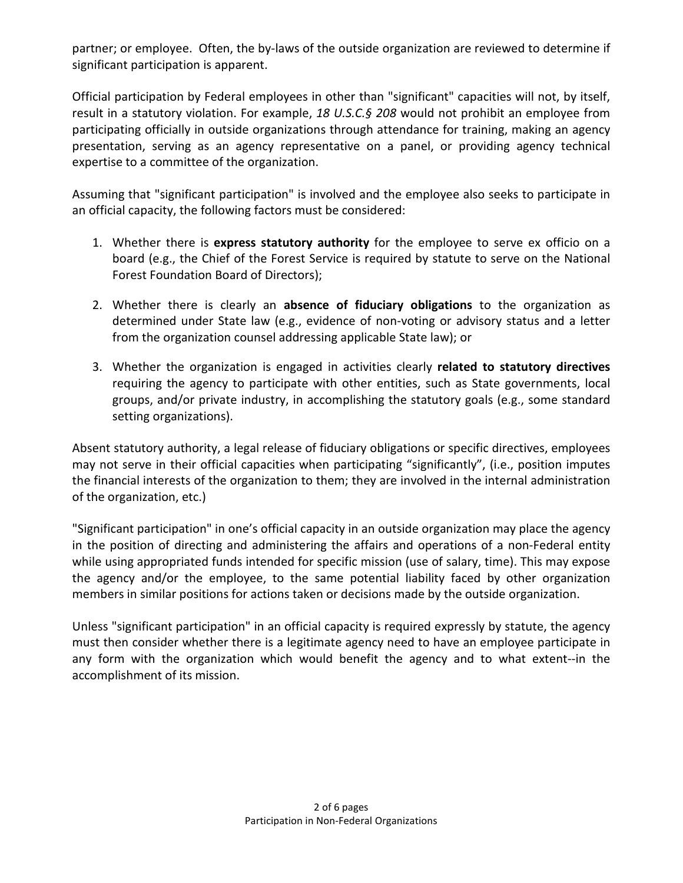partner; or employee. Often, the by-laws of the outside organization are reviewed to determine if significant participation is apparent.

Official participation by Federal employees in other than "significant" capacities will not, by itself, result in a statutory violation. For example, *18 U.S.C.§ 208* would not prohibit an employee from participating officially in outside organizations through attendance for training, making an agency presentation, serving as an agency representative on a panel, or providing agency technical expertise to a committee of the organization.

Assuming that "significant participation" is involved and the employee also seeks to participate in an official capacity, the following factors must be considered:

- 1. Whether there is **express statutory authority** for the employee to serve ex officio on a board (e.g., the Chief of the Forest Service is required by statute to serve on the National Forest Foundation Board of Directors);
- 2. Whether there is clearly an **absence of fiduciary obligations** to the organization as determined under State law (e.g., evidence of non-voting or advisory status and a letter from the organization counsel addressing applicable State law); or
- 3. Whether the organization is engaged in activities clearly **related to statutory directives** requiring the agency to participate with other entities, such as State governments, local groups, and/or private industry, in accomplishing the statutory goals (e.g., some standard setting organizations).

Absent statutory authority, a legal release of fiduciary obligations or specific directives, employees may not serve in their official capacities when participating "significantly", (i.e., position imputes the financial interests of the organization to them; they are involved in the internal administration of the organization, etc.)

"Significant participation" in one's official capacity in an outside organization may place the agency in the position of directing and administering the affairs and operations of a non-Federal entity while using appropriated funds intended for specific mission (use of salary, time). This may expose the agency and/or the employee, to the same potential liability faced by other organization members in similar positions for actions taken or decisions made by the outside organization.

Unless "significant participation" in an official capacity is required expressly by statute, the agency must then consider whether there is a legitimate agency need to have an employee participate in any form with the organization which would benefit the agency and to what extent--in the accomplishment of its mission.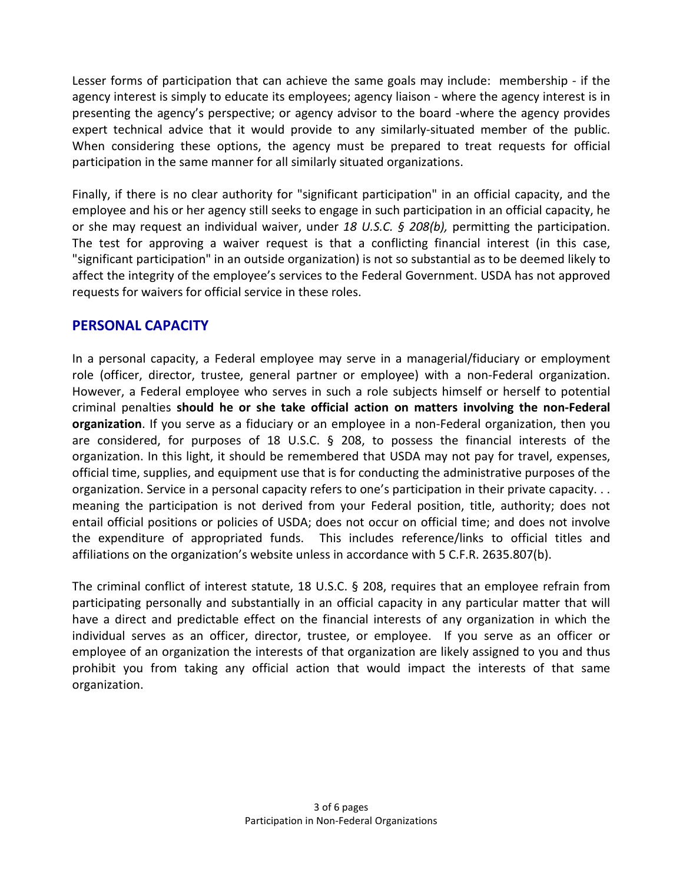Lesser forms of participation that can achieve the same goals may include: membership - if the agency interest is simply to educate its employees; agency liaison - where the agency interest is in presenting the agency's perspective; or agency advisor to the board -where the agency provides expert technical advice that it would provide to any similarly-situated member of the public. When considering these options, the agency must be prepared to treat requests for official participation in the same manner for all similarly situated organizations.

Finally, if there is no clear authority for "significant participation" in an official capacity, and the employee and his or her agency still seeks to engage in such participation in an official capacity, he or she may request an individual waiver, under *18 U.S.C. § 208(b),* permitting the participation. The test for approving a waiver request is that a conflicting financial interest (in this case, "significant participation" in an outside organization) is not so substantial as to be deemed likely to affect the integrity of the employee's services to the Federal Government. USDA has not approved requests for waivers for official service in these roles.

#### **PERSONAL CAPACITY**

In a personal capacity, a Federal employee may serve in a managerial/fiduciary or employment role (officer, director, trustee, general partner or employee) with a non-Federal organization. However, a Federal employee who serves in such a role subjects himself or herself to potential criminal penalties **should he or she take official action on matters involving the non-Federal organization**. If you serve as a fiduciary or an employee in a non-Federal organization, then you are considered, for purposes of 18 U.S.C. § 208, to possess the financial interests of the organization. In this light, it should be remembered that USDA may not pay for travel, expenses, official time, supplies, and equipment use that is for conducting the administrative purposes of the organization. Service in a personal capacity refers to one's participation in their private capacity. . . meaning the participation is not derived from your Federal position, title, authority; does not entail official positions or policies of USDA; does not occur on official time; and does not involve the expenditure of appropriated funds. This includes reference/links to official titles and affiliations on the organization's website unless in accordance with 5 C.F.R. 2635.807(b).

The criminal conflict of interest statute, 18 U.S.C. § 208, requires that an employee refrain from participating personally and substantially in an official capacity in any particular matter that will have a direct and predictable effect on the financial interests of any organization in which the individual serves as an officer, director, trustee, or employee. If you serve as an officer or employee of an organization the interests of that organization are likely assigned to you and thus prohibit you from taking any official action that would impact the interests of that same organization.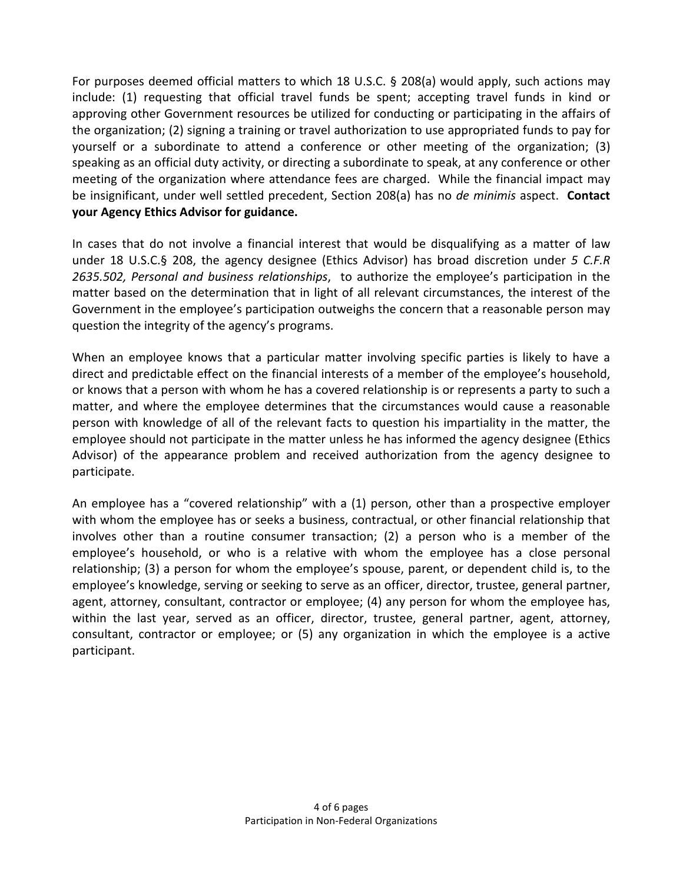For purposes deemed official matters to which 18 U.S.C. § 208(a) would apply, such actions may include: (1) requesting that official travel funds be spent; accepting travel funds in kind or approving other Government resources be utilized for conducting or participating in the affairs of the organization; (2) signing a training or travel authorization to use appropriated funds to pay for yourself or a subordinate to attend a conference or other meeting of the organization; (3) speaking as an official duty activity, or directing a subordinate to speak, at any conference or other meeting of the organization where attendance fees are charged. While the financial impact may be insignificant, under well settled precedent, Section 208(a) has no *de minimis* aspect. **Contact your Agency Ethics Advisor for guidance.** 

In cases that do not involve a financial interest that would be disqualifying as a matter of law under 18 U.S.C.§ 208, the agency designee (Ethics Advisor) has broad discretion under *5 C.F.R 2635.502, Personal and business relationships*, to authorize the employee's participation in the matter based on the determination that in light of all relevant circumstances, the interest of the Government in the employee's participation outweighs the concern that a reasonable person may question the integrity of the agency's programs.

When an employee knows that a particular matter involving specific parties is likely to have a direct and predictable effect on the financial interests of a member of the employee's household, or knows that a person with whom he has a covered relationship is or represents a party to such a matter, and where the employee determines that the circumstances would cause a reasonable person with knowledge of all of the relevant facts to question his impartiality in the matter, the employee should not participate in the matter unless he has informed the agency designee (Ethics Advisor) of the appearance problem and received authorization from the agency designee to participate.

An employee has a "covered relationship" with a (1) person, other than a prospective employer with whom the employee has or seeks a business, contractual, or other financial relationship that involves other than a routine consumer transaction; (2) a person who is a member of the employee's household, or who is a relative with whom the employee has a close personal relationship; (3) a person for whom the employee's spouse, parent, or dependent child is, to the employee's knowledge, serving or seeking to serve as an officer, director, trustee, general partner, agent, attorney, consultant, contractor or employee; (4) any person for whom the employee has, within the last year, served as an officer, director, trustee, general partner, agent, attorney, consultant, contractor or employee; or (5) any organization in which the employee is a active participant.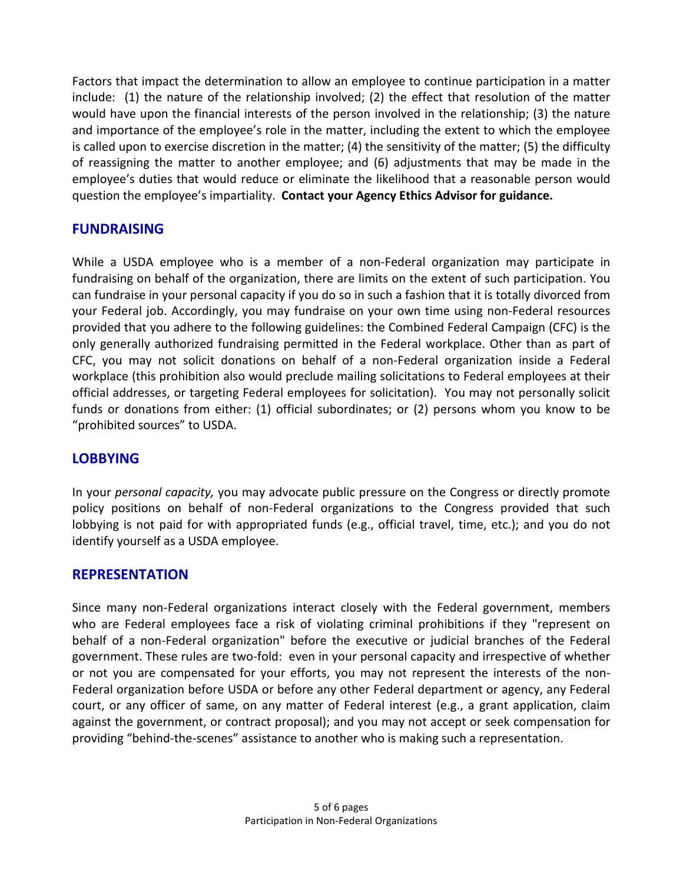Factors that impact the determination to allow an employee to continue participation in a matter include: (1) the nature of the relationship involved; (2) the effect that resolution of the matter would have upon the financial interests of the person involved in the relationship; (3) the nature and importance of the employee's role in the matter, including the extent to which the employee is called upon to exercise discretion in the matter; (4) the sensitivity of the matter; (5) the difficulty of reassigning the matter to another employee; and (6) adjustments that may be made in the employee's duties that would reduce or eliminate the likelihood that a reasonable person would question the employee's impartiality. **Contact your Agency Ethics Advisor for guidance.** 

## **FUNDRAISING**

While a USDA employee who is a member of a non-Federal organization may participate in fundraising on behalf of the organization, there are limits on the extent of such participation. You can fundraise in your personal capacity if you do so in such a fashion that it is totally divorced from your Federal job. Accordingly, you may fundraise on your own time using non-Federal resources provided that you adhere to the following guidelines: the Combined Federal Campaign (CFC) is the only generally authorized fundraising permitted in the Federal workplace. Other than as part of CFC, you may not solicit donations on behalf of a non-Federal organization inside a Federal workplace (this prohibition also would preclude mailing solicitations to Federal employees at their official addresses, or targeting Federal employees for solicitation). You may not personally solicit funds or donations from either: (1) official subordinates; or (2) persons whom you know to be "prohibited sources" to USDA.

#### **LOBBYING**

In your *personal capacity,* you may advocate public pressure on the Congress or directly promote policy positions on behalf of non-Federal organizations to the Congress provided that such lobbying is not paid for with appropriated funds (e.g., official travel, time, etc.); and you do not identify yourself as a USDA employee.

# **REPRESENTATION**

Since many non-Federal organizations interact closely with the Federal government, members who are Federal employees face a risk of violating criminal prohibitions if they "represent on behalf of a non-Federal organization" before the executive or judicial branches of the Federal government. These rules are two-fold: even in your personal capacity and irrespective of whether or not you are compensated for your efforts, you may not represent the interests of the non-Federal organization before USDA or before any other Federal department or agency, any Federal court, or any officer of same, on any matter of Federal interest (e.g., a grant application, claim against the government, or contract proposal); and you may not accept or seek compensation for providing "behind-the-scenes" assistance to another who is making such a representation.